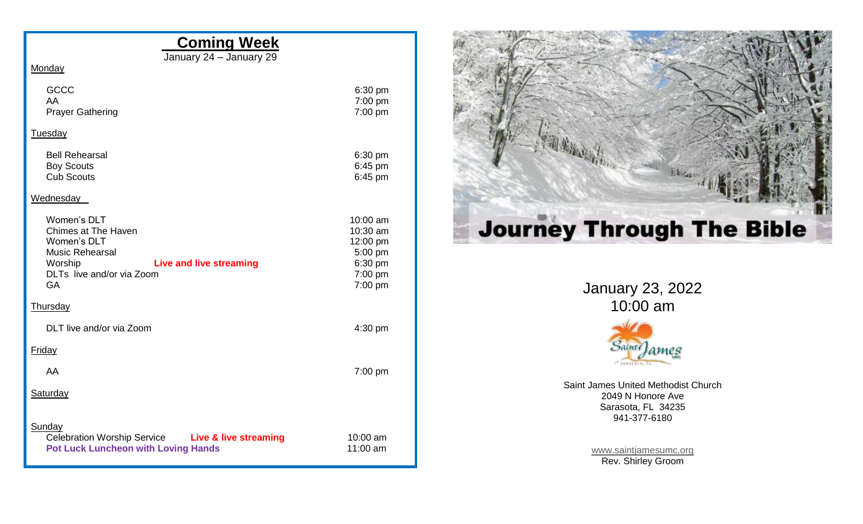## **Coming Week**

January 24 – January 29

| Monday                                                                                                                                                             |                                                                              |  |
|--------------------------------------------------------------------------------------------------------------------------------------------------------------------|------------------------------------------------------------------------------|--|
| <b>GCCC</b><br>AA<br><b>Prayer Gathering</b>                                                                                                                       | 6:30 pm<br>7:00 pm<br>7:00 pm                                                |  |
| Tuesday                                                                                                                                                            |                                                                              |  |
| <b>Bell Rehearsal</b><br><b>Boy Scouts</b><br><b>Cub Scouts</b>                                                                                                    | 6:30 pm<br>6:45 pm<br>6:45 pm                                                |  |
| Wednesday                                                                                                                                                          |                                                                              |  |
| Women's DLT<br><b>Chimes at The Haven</b><br>Women's DLT<br><b>Music Rehearsal</b><br>Worship<br><b>Live and live streaming</b><br>DLTs live and/or via Zoom<br>GA | 10:00 am<br>10:30 am<br>12:00 pm<br>5:00 pm<br>6:30 pm<br>7:00 pm<br>7:00 pm |  |
| <b>Thursday</b>                                                                                                                                                    |                                                                              |  |
| DLT live and/or via Zoom                                                                                                                                           | 4:30 pm                                                                      |  |
| <b>Friday</b>                                                                                                                                                      |                                                                              |  |
| AA                                                                                                                                                                 | 7:00 pm                                                                      |  |
| <b>Saturday</b>                                                                                                                                                    |                                                                              |  |
| Sunday<br>Celebration Worship Service Live & live streaming<br><b>Pot Luck Luncheon with Loving Hands</b>                                                          | 10:00 am<br>11:00 am                                                         |  |



January 23, 2022 10:00 am



Saint James United Methodist Church 2049 N Honore Ave Sarasota, FL 34235 941-377-6180

> [www.saintjamesumc.org](http://www.saintjamesumc.org/) Rev. Shirley Groom